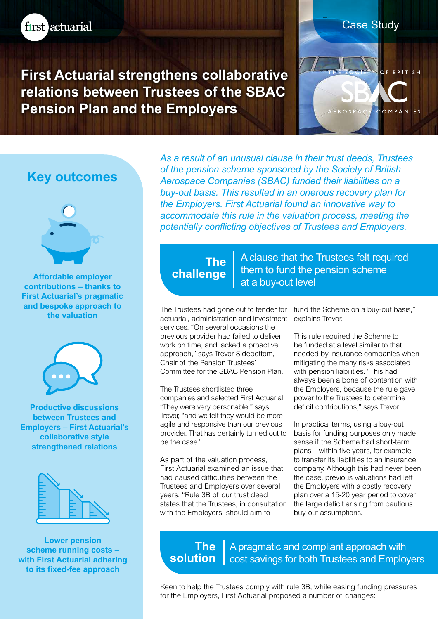

**First Actuarial strengthens collaborative relations between Trustees of the SBAC Pension Plan and the Employers**

# **Key outcomes**



**Affordable employer contributions – thanks to First Actuarial's pragmatic and bespoke approach to the valuation**



**Productive discussions between Trustees and Employers – First Actuarial's collaborative style strengthened relations**



**Lower pension scheme running costs – with First Actuarial adhering to its fixed-fee approach**

*As a result of an unusual clause in their trust deeds, Trustees of the pension scheme sponsored by the Society of British Aerospace Companies (SBAC) funded their liabilities on a buy-out basis. This resulted in an onerous recovery plan for the Employers. First Actuarial found an innovative way to accommodate this rule in the valuation process, meeting the potentially conflicting objectives of Trustees and Employers.*

## **The challenge**

A clause that the Trustees felt required them to fund the pension scheme at a buy-out level

The Trustees had gone out to tender for fund the Scheme on a buy-out basis," actuarial, administration and investment services. "On several occasions the previous provider had failed to deliver work on time, and lacked a proactive approach," says Trevor Sidebottom, Chair of the Pension Trustees' Committee for the SBAC Pension Plan.

The Trustees shortlisted three companies and selected First Actuarial. "They were very personable," says Trevor, "and we felt they would be more agile and responsive than our previous provider. That has certainly turned out to be the case."

As part of the valuation process, First Actuarial examined an issue that had caused difficulties between the Trustees and Employers over several years. "Rule 3B of our trust deed states that the Trustees, in consultation with the Employers, should aim to

explains Trevor.

Case Study

**AEROSP** 

**OF BRITISH** 

OMPANIES

This rule required the Scheme to be funded at a level similar to that needed by insurance companies when mitigating the many risks associated with pension liabilities. "This had always been a bone of contention with the Employers, because the rule gave power to the Trustees to determine deficit contributions," says Trevor.

In practical terms, using a buy-out basis for funding purposes only made sense if the Scheme had short-term plans – within five years, for example – to transfer its liabilities to an insurance company. Although this had never been the case, previous valuations had left the Employers with a costly recovery plan over a 15-20 year period to cover the large deficit arising from cautious buy-out assumptions.

**The solution** A pragmatic and compliant approach with cost savings for both Trustees and Employers

Keen to help the Trustees comply with rule 3B, while easing funding pressures for the Employers, First Actuarial proposed a number of changes: